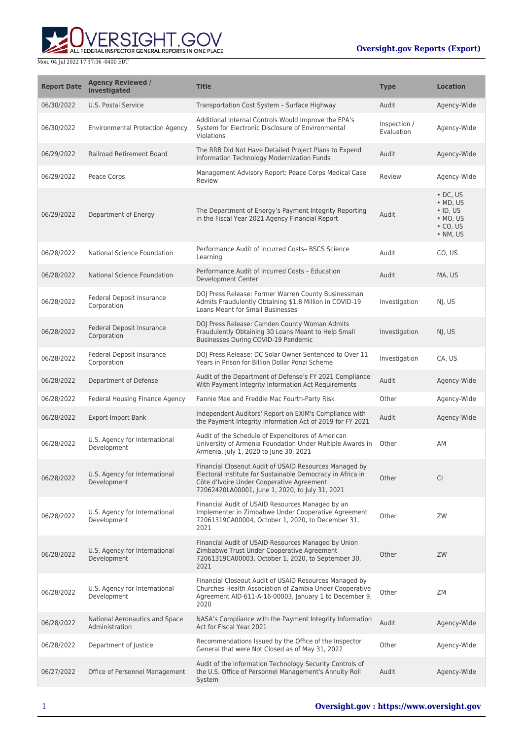**WERSIGHT.GOV** 

| <b>Report Date</b> | <b>Agency Reviewed /</b><br><b>Investigated</b>  | <b>Title</b>                                                                                                                                                                                                         | <b>Type</b>                | <b>Location</b>                                                                                        |
|--------------------|--------------------------------------------------|----------------------------------------------------------------------------------------------------------------------------------------------------------------------------------------------------------------------|----------------------------|--------------------------------------------------------------------------------------------------------|
| 06/30/2022         | U.S. Postal Service                              | Transportation Cost System - Surface Highway                                                                                                                                                                         | Audit                      | Agency-Wide                                                                                            |
| 06/30/2022         | <b>Environmental Protection Agency</b>           | Additional Internal Controls Would Improve the EPA's<br>System for Electronic Disclosure of Environmental<br>Violations                                                                                              | Inspection /<br>Evaluation | Agency-Wide                                                                                            |
| 06/29/2022         | <b>Railroad Retirement Board</b>                 | The RRB Did Not Have Detailed Project Plans to Expend<br>Information Technology Modernization Funds                                                                                                                  | Audit                      | Agency-Wide                                                                                            |
| 06/29/2022         | Peace Corps                                      | Management Advisory Report: Peace Corps Medical Case<br>Review                                                                                                                                                       | Review                     | Agency-Wide                                                                                            |
| 06/29/2022         | Department of Energy                             | The Department of Energy's Payment Integrity Reporting<br>in the Fiscal Year 2021 Agency Financial Report                                                                                                            | Audit                      | $\cdot$ DC, US<br>$\bullet$ MD, US<br>$\cdot$ ID, US<br>$\bullet$ MO, US<br>$\cdot$ CO, US<br>• NM, US |
| 06/28/2022         | National Science Foundation                      | Performance Audit of Incurred Costs-BSCS Science<br>Learning                                                                                                                                                         | Audit                      | CO, US                                                                                                 |
| 06/28/2022         | National Science Foundation                      | Performance Audit of Incurred Costs - Education<br>Development Center                                                                                                                                                | Audit                      | MA, US                                                                                                 |
| 06/28/2022         | Federal Deposit Insurance<br>Corporation         | DOJ Press Release: Former Warren County Businessman<br>Admits Fraudulently Obtaining \$1.8 Million in COVID-19<br><b>Loans Meant for Small Businesses</b>                                                            | Investigation              | NJ, US                                                                                                 |
| 06/28/2022         | <b>Federal Deposit Insurance</b><br>Corporation  | DOJ Press Release: Camden County Woman Admits<br>Fraudulently Obtaining 30 Loans Meant to Help Small<br>Businesses During COVID-19 Pandemic                                                                          | Investigation              | NJ, US                                                                                                 |
| 06/28/2022         | Federal Deposit Insurance<br>Corporation         | DOJ Press Release: DC Solar Owner Sentenced to Over 11<br>Years in Prison for Billion Dollar Ponzi Scheme                                                                                                            | Investigation              | CA, US                                                                                                 |
| 06/28/2022         | Department of Defense                            | Audit of the Department of Defense's FY 2021 Compliance<br>With Payment Integrity Information Act Requirements                                                                                                       | Audit                      | Agency-Wide                                                                                            |
| 06/28/2022         | Federal Housing Finance Agency                   | Fannie Mae and Freddie Mac Fourth-Party Risk                                                                                                                                                                         | Other                      | Agency-Wide                                                                                            |
| 06/28/2022         | <b>Export-Import Bank</b>                        | Independent Auditors' Report on EXIM's Compliance with<br>the Payment Integrity Information Act of 2019 for FY 2021                                                                                                  | Audit                      | Agency-Wide                                                                                            |
| 06/28/2022         | U.S. Agency for International<br>Development     | Audit of the Schedule of Expenditures of American<br>University of Armenia Foundation Under Multiple Awards in<br>Armenia, July 1, 2020 to June 30, 2021                                                             | Other                      | AM                                                                                                     |
| 06/28/2022         | U.S. Agency for International<br>Development     | Financial Closeout Audit of USAID Resources Managed by<br>Electoral Institute for Sustainable Democracy in Africa in<br>Côte d'Ivoire Under Cooperative Agreement<br>72062420LA00001, June 1, 2020, to July 31, 2021 | Other                      | <b>CI</b>                                                                                              |
| 06/28/2022         | U.S. Agency for International<br>Development     | Financial Audit of USAID Resources Managed by an<br>Implementer in Zimbabwe Under Cooperative Agreement<br>72061319CA00004, October 1, 2020, to December 31,<br>2021                                                 | Other                      | ZW                                                                                                     |
| 06/28/2022         | U.S. Agency for International<br>Development     | Financial Audit of USAID Resources Managed by Union<br>Zimbabwe Trust Under Cooperative Agreement<br>72061319CA00003, October 1, 2020, to September 30,<br>2021                                                      | Other                      | ZW                                                                                                     |
| 06/28/2022         | U.S. Agency for International<br>Development     | Financial Closeout Audit of USAID Resources Managed by<br>Churches Health Association of Zambia Under Cooperative<br>Agreement AID-611-A-16-00003, January 1 to December 9,<br>2020                                  | Other                      | ZΜ                                                                                                     |
| 06/28/2022         | National Aeronautics and Space<br>Administration | NASA's Compliance with the Payment Integrity Information<br>Act for Fiscal Year 2021                                                                                                                                 | Audit                      | Agency-Wide                                                                                            |
| 06/28/2022         | Department of Justice                            | Recommendations Issued by the Office of the Inspector<br>General that were Not Closed as of May 31, 2022                                                                                                             | Other                      | Agency-Wide                                                                                            |
| 06/27/2022         | Office of Personnel Management                   | Audit of the Information Technology Security Controls of<br>the U.S. Office of Personnel Management's Annuity Roll<br>System                                                                                         | Audit                      | Agency-Wide                                                                                            |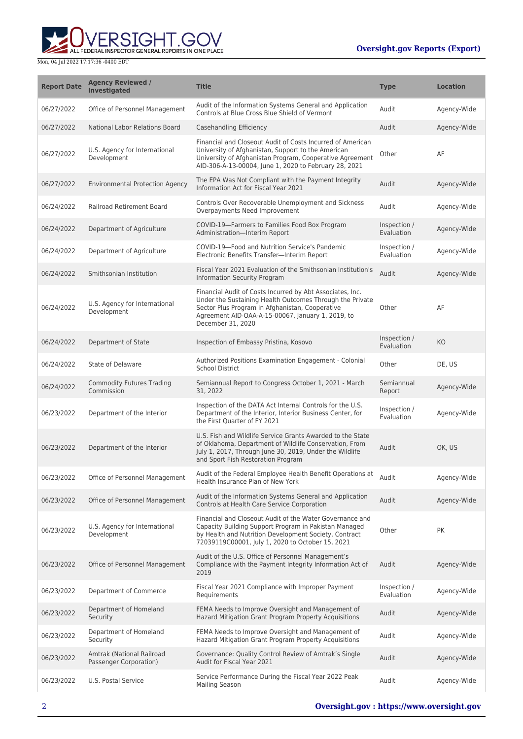**WERSIGHT.GOV** 

| <b>Report Date</b> | <b>Agency Reviewed /</b><br><b>Investigated</b>     | <b>Title</b>                                                                                                                                                                                                                                       | <b>Type</b>                | <b>Location</b> |
|--------------------|-----------------------------------------------------|----------------------------------------------------------------------------------------------------------------------------------------------------------------------------------------------------------------------------------------------------|----------------------------|-----------------|
| 06/27/2022         | Office of Personnel Management                      | Audit of the Information Systems General and Application<br>Controls at Blue Cross Blue Shield of Vermont                                                                                                                                          | Audit                      | Agency-Wide     |
| 06/27/2022         | National Labor Relations Board                      | Casehandling Efficiency                                                                                                                                                                                                                            | Audit                      | Agency-Wide     |
| 06/27/2022         | U.S. Agency for International<br>Development        | Financial and Closeout Audit of Costs Incurred of American<br>University of Afghanistan, Support to the American<br>University of Afghanistan Program, Cooperative Agreement<br>AID-306-A-13-00004, June 1, 2020 to February 28, 2021              | Other                      | AF              |
| 06/27/2022         | <b>Environmental Protection Agency</b>              | The EPA Was Not Compliant with the Payment Integrity<br>Information Act for Fiscal Year 2021                                                                                                                                                       | Audit                      | Agency-Wide     |
| 06/24/2022         | Railroad Retirement Board                           | Controls Over Recoverable Unemployment and Sickness<br>Overpayments Need Improvement                                                                                                                                                               | Audit                      | Agency-Wide     |
| 06/24/2022         | Department of Agriculture                           | COVID-19-Farmers to Families Food Box Program<br>Administration-Interim Report                                                                                                                                                                     | Inspection /<br>Evaluation | Agency-Wide     |
| 06/24/2022         | Department of Agriculture                           | COVID-19-Food and Nutrition Service's Pandemic<br>Electronic Benefits Transfer-Interim Report                                                                                                                                                      | Inspection /<br>Evaluation | Agency-Wide     |
| 06/24/2022         | Smithsonian Institution                             | Fiscal Year 2021 Evaluation of the Smithsonian Institution's<br>Information Security Program                                                                                                                                                       | Audit                      | Agency-Wide     |
| 06/24/2022         | U.S. Agency for International<br>Development        | Financial Audit of Costs Incurred by Abt Associates, Inc.<br>Under the Sustaining Health Outcomes Through the Private<br>Sector Plus Program in Afghanistan, Cooperative<br>Agreement AID-OAA-A-15-00067, January 1, 2019, to<br>December 31, 2020 | Other                      | AF              |
| 06/24/2022         | Department of State                                 | Inspection of Embassy Pristina, Kosovo                                                                                                                                                                                                             | Inspection /<br>Evaluation | KO              |
| 06/24/2022         | State of Delaware                                   | Authorized Positions Examination Engagement - Colonial<br><b>School District</b>                                                                                                                                                                   | Other                      | DE, US          |
| 06/24/2022         | <b>Commodity Futures Trading</b><br>Commission      | Semiannual Report to Congress October 1, 2021 - March<br>31, 2022                                                                                                                                                                                  | Semiannual<br>Report       | Agency-Wide     |
| 06/23/2022         | Department of the Interior                          | Inspection of the DATA Act Internal Controls for the U.S.<br>Department of the Interior, Interior Business Center, for<br>the First Quarter of FY 2021                                                                                             | Inspection /<br>Evaluation | Agency-Wide     |
| 06/23/2022         | Department of the Interior                          | U.S. Fish and Wildlife Service Grants Awarded to the State<br>of Oklahoma, Department of Wildlife Conservation, From<br>July 1, 2017, Through June 30, 2019, Under the Wildlife<br>and Sport Fish Restoration Program                              | Audit                      | OK, US          |
| 06/23/2022         | Office of Personnel Management                      | Audit of the Federal Employee Health Benefit Operations at<br>Health Insurance Plan of New York                                                                                                                                                    | Audit                      | Agency-Wide     |
| 06/23/2022         | Office of Personnel Management                      | Audit of the Information Systems General and Application<br>Controls at Health Care Service Corporation                                                                                                                                            | Audit                      | Agency-Wide     |
| 06/23/2022         | U.S. Agency for International<br>Development        | Financial and Closeout Audit of the Water Governance and<br>Capacity Building Support Program in Pakistan Managed<br>by Health and Nutrition Development Society, Contract<br>72039119C00001, July 1, 2020 to October 15, 2021                     | Other                      | <b>PK</b>       |
| 06/23/2022         | Office of Personnel Management                      | Audit of the U.S. Office of Personnel Management's<br>Compliance with the Payment Integrity Information Act of<br>2019                                                                                                                             | Audit                      | Agency-Wide     |
| 06/23/2022         | Department of Commerce                              | Fiscal Year 2021 Compliance with Improper Payment<br>Requirements                                                                                                                                                                                  | Inspection /<br>Evaluation | Agency-Wide     |
| 06/23/2022         | Department of Homeland<br>Security                  | FEMA Needs to Improve Oversight and Management of<br>Hazard Mitigation Grant Program Property Acquisitions                                                                                                                                         | Audit                      | Agency-Wide     |
| 06/23/2022         | Department of Homeland<br>Security                  | FEMA Needs to Improve Oversight and Management of<br>Hazard Mitigation Grant Program Property Acquisitions                                                                                                                                         | Audit                      | Agency-Wide     |
| 06/23/2022         | Amtrak (National Railroad<br>Passenger Corporation) | Governance: Quality Control Review of Amtrak's Single<br>Audit for Fiscal Year 2021                                                                                                                                                                | Audit                      | Agency-Wide     |
| 06/23/2022         | U.S. Postal Service                                 | Service Performance During the Fiscal Year 2022 Peak<br><b>Mailing Season</b>                                                                                                                                                                      | Audit                      | Agency-Wide     |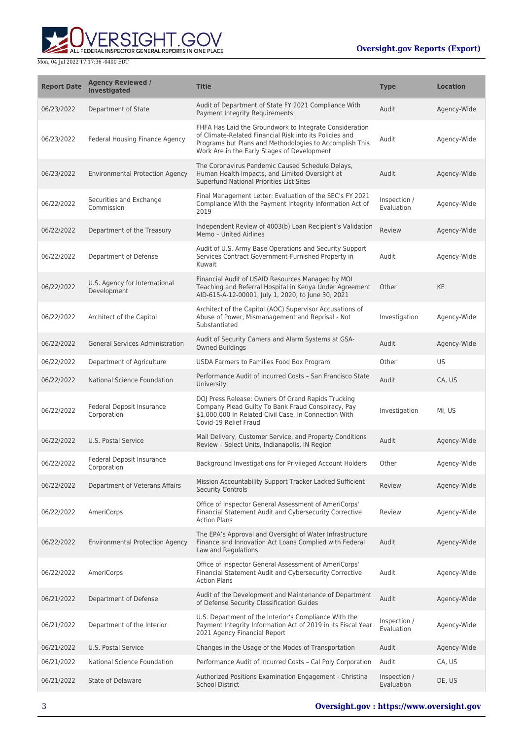

| <b>Report Date</b> | <b>Agency Reviewed /</b><br><b>Investigated</b> | <b>Title</b>                                                                                                                                                                                                                 | <b>Type</b>                | <b>Location</b> |
|--------------------|-------------------------------------------------|------------------------------------------------------------------------------------------------------------------------------------------------------------------------------------------------------------------------------|----------------------------|-----------------|
| 06/23/2022         | Department of State                             | Audit of Department of State FY 2021 Compliance With<br>Payment Integrity Requirements                                                                                                                                       | Audit                      | Agency-Wide     |
| 06/23/2022         | Federal Housing Finance Agency                  | FHFA Has Laid the Groundwork to Integrate Consideration<br>of Climate-Related Financial Risk into its Policies and<br>Programs but Plans and Methodologies to Accomplish This<br>Work Are in the Early Stages of Development | Audit                      | Agency-Wide     |
| 06/23/2022         | <b>Environmental Protection Agency</b>          | The Coronavirus Pandemic Caused Schedule Delays,<br>Human Health Impacts, and Limited Oversight at<br>Superfund National Priorities List Sites                                                                               | Audit                      | Agency-Wide     |
| 06/22/2022         | Securities and Exchange<br>Commission           | Final Management Letter: Evaluation of the SEC's FY 2021<br>Compliance With the Payment Integrity Information Act of<br>2019                                                                                                 | Inspection /<br>Evaluation | Agency-Wide     |
| 06/22/2022         | Department of the Treasury                      | Independent Review of 4003(b) Loan Recipient's Validation<br>Memo - United Airlines                                                                                                                                          | Review                     | Agency-Wide     |
| 06/22/2022         | Department of Defense                           | Audit of U.S. Army Base Operations and Security Support<br>Services Contract Government-Furnished Property in<br>Kuwait                                                                                                      | Audit                      | Agency-Wide     |
| 06/22/2022         | U.S. Agency for International<br>Development    | Financial Audit of USAID Resources Managed by MOI<br>Teaching and Referral Hospital in Kenya Under Agreement<br>AID-615-A-12-00001, July 1, 2020, to June 30, 2021                                                           | Other                      | <b>KE</b>       |
| 06/22/2022         | Architect of the Capitol                        | Architect of the Capitol (AOC) Supervisor Accusations of<br>Abuse of Power, Mismanagement and Reprisal - Not<br>Substantiated                                                                                                | Investigation              | Agency-Wide     |
| 06/22/2022         | <b>General Services Administration</b>          | Audit of Security Camera and Alarm Systems at GSA-<br><b>Owned Buildings</b>                                                                                                                                                 | Audit                      | Agency-Wide     |
| 06/22/2022         | Department of Agriculture                       | USDA Farmers to Families Food Box Program                                                                                                                                                                                    | Other                      | <b>US</b>       |
| 06/22/2022         | National Science Foundation                     | Performance Audit of Incurred Costs - San Francisco State<br>University                                                                                                                                                      | Audit                      | CA, US          |
| 06/22/2022         | Federal Deposit Insurance<br>Corporation        | DOJ Press Release: Owners Of Grand Rapids Trucking<br>Company Plead Guilty To Bank Fraud Conspiracy, Pay<br>\$1,000,000 In Related Civil Case, In Connection With<br>Covid-19 Relief Fraud                                   | Investigation              | MI, US          |
| 06/22/2022         | U.S. Postal Service                             | Mail Delivery, Customer Service, and Property Conditions<br>Review - Select Units, Indianapolis, IN Region                                                                                                                   | Audit                      | Agency-Wide     |
| 06/22/2022         | Federal Deposit Insurance<br>Corporation        | Background Investigations for Privileged Account Holders                                                                                                                                                                     | Other                      | Agency-Wide     |
| 06/22/2022         | Department of Veterans Affairs                  | Mission Accountability Support Tracker Lacked Sufficient<br><b>Security Controls</b>                                                                                                                                         | Review                     | Agency-Wide     |
| 06/22/2022         | AmeriCorps                                      | Office of Inspector General Assessment of AmeriCorps'<br>Financial Statement Audit and Cybersecurity Corrective<br><b>Action Plans</b>                                                                                       | Review                     | Agency-Wide     |
| 06/22/2022         | <b>Environmental Protection Agency</b>          | The EPA's Approval and Oversight of Water Infrastructure<br>Finance and Innovation Act Loans Complied with Federal<br>Law and Regulations                                                                                    | Audit                      | Agency-Wide     |
| 06/22/2022         | AmeriCorps                                      | Office of Inspector General Assessment of AmeriCorps'<br>Financial Statement Audit and Cybersecurity Corrective<br><b>Action Plans</b>                                                                                       | Audit                      | Agency-Wide     |
| 06/21/2022         | Department of Defense                           | Audit of the Development and Maintenance of Department<br>of Defense Security Classification Guides                                                                                                                          | Audit                      | Agency-Wide     |
| 06/21/2022         | Department of the Interior                      | U.S. Department of the Interior's Compliance With the<br>Payment Integrity Information Act of 2019 in Its Fiscal Year<br>2021 Agency Financial Report                                                                        | Inspection /<br>Evaluation | Agency-Wide     |
| 06/21/2022         | U.S. Postal Service                             | Changes in the Usage of the Modes of Transportation                                                                                                                                                                          | Audit                      | Agency-Wide     |
| 06/21/2022         | National Science Foundation                     | Performance Audit of Incurred Costs - Cal Poly Corporation                                                                                                                                                                   | Audit                      | CA, US          |
| 06/21/2022         | <b>State of Delaware</b>                        | Authorized Positions Examination Engagement - Christina<br><b>School District</b>                                                                                                                                            | Inspection /<br>Evaluation | DE, US          |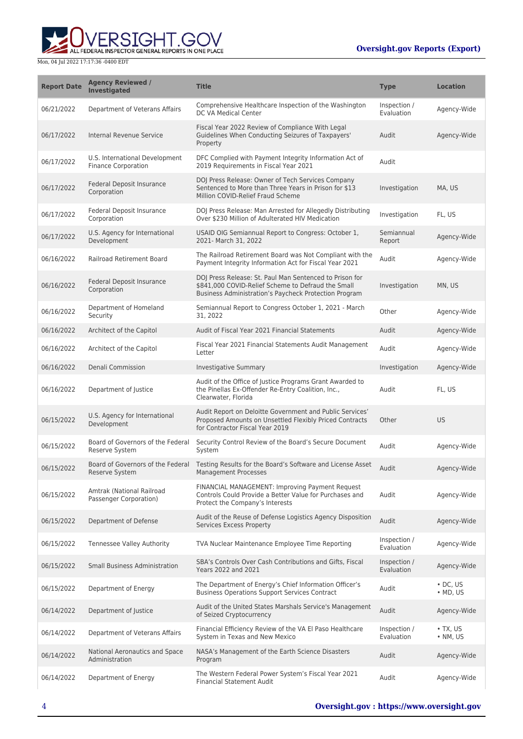**WERSIGHT.GOV** 

| <b>Report Date</b> | <b>Agency Reviewed /</b><br><b>Investigated</b>              | <b>Title</b>                                                                                                                                                           | <b>Type</b>                | <b>Location</b>                      |
|--------------------|--------------------------------------------------------------|------------------------------------------------------------------------------------------------------------------------------------------------------------------------|----------------------------|--------------------------------------|
| 06/21/2022         | Department of Veterans Affairs                               | Comprehensive Healthcare Inspection of the Washington<br>DC VA Medical Center                                                                                          | Inspection /<br>Evaluation | Agency-Wide                          |
| 06/17/2022         | Internal Revenue Service                                     | Fiscal Year 2022 Review of Compliance With Legal<br>Guidelines When Conducting Seizures of Taxpayers'<br>Property                                                      | Audit                      | Agency-Wide                          |
| 06/17/2022         | U.S. International Development<br><b>Finance Corporation</b> | DFC Complied with Payment Integrity Information Act of<br>2019 Requirements in Fiscal Year 2021                                                                        | Audit                      |                                      |
| 06/17/2022         | Federal Deposit Insurance<br>Corporation                     | DOJ Press Release: Owner of Tech Services Company<br>Sentenced to More than Three Years in Prison for \$13<br>Million COVID-Relief Fraud Scheme                        | Investigation              | MA, US                               |
| 06/17/2022         | Federal Deposit Insurance<br>Corporation                     | DOJ Press Release: Man Arrested for Allegedly Distributing<br>Over \$230 Million of Adulterated HIV Medication                                                         | Investigation              | FL, US                               |
| 06/17/2022         | U.S. Agency for International<br>Development                 | USAID OIG Semiannual Report to Congress: October 1,<br>2021- March 31, 2022                                                                                            | Semiannual<br>Report       | Agency-Wide                          |
| 06/16/2022         | Railroad Retirement Board                                    | The Railroad Retirement Board was Not Compliant with the<br>Payment Integrity Information Act for Fiscal Year 2021                                                     | Audit                      | Agency-Wide                          |
| 06/16/2022         | Federal Deposit Insurance<br>Corporation                     | DOJ Press Release: St. Paul Man Sentenced to Prison for<br>\$841,000 COVID-Relief Scheme to Defraud the Small<br>Business Administration's Paycheck Protection Program | Investigation              | MN, US                               |
| 06/16/2022         | Department of Homeland<br>Security                           | Semiannual Report to Congress October 1, 2021 - March<br>31, 2022                                                                                                      | Other                      | Agency-Wide                          |
| 06/16/2022         | Architect of the Capitol                                     | Audit of Fiscal Year 2021 Financial Statements                                                                                                                         | Audit                      | Agency-Wide                          |
| 06/16/2022         | Architect of the Capitol                                     | Fiscal Year 2021 Financial Statements Audit Management<br>Letter                                                                                                       | Audit                      | Agency-Wide                          |
| 06/16/2022         | Denali Commission                                            | Investigative Summary                                                                                                                                                  | Investigation              | Agency-Wide                          |
| 06/16/2022         | Department of Justice                                        | Audit of the Office of Justice Programs Grant Awarded to<br>the Pinellas Ex-Offender Re-Entry Coalition, Inc.,<br>Clearwater, Florida                                  | Audit                      | FL, US                               |
| 06/15/2022         | U.S. Agency for International<br>Development                 | Audit Report on Deloitte Government and Public Services'<br>Proposed Amounts on Unsettled Flexibly Priced Contracts<br>for Contractor Fiscal Year 2019                 | Other                      | US                                   |
| 06/15/2022         | Board of Governors of the Federal<br>Reserve System          | Security Control Review of the Board's Secure Document<br>System                                                                                                       | Audit                      | Agency-Wide                          |
| 06/15/2022         | Board of Governors of the Federal<br>Reserve System          | Testing Results for the Board's Software and License Asset<br><b>Management Processes</b>                                                                              | Audit                      | Agency-Wide                          |
| 06/15/2022         | Amtrak (National Railroad<br>Passenger Corporation)          | FINANCIAL MANAGEMENT: Improving Payment Request<br>Controls Could Provide a Better Value for Purchases and<br>Protect the Company's Interests                          | Audit                      | Agency-Wide                          |
| 06/15/2022         | Department of Defense                                        | Audit of the Reuse of Defense Logistics Agency Disposition<br>Services Excess Property                                                                                 | Audit                      | Agency-Wide                          |
| 06/15/2022         | <b>Tennessee Valley Authority</b>                            | TVA Nuclear Maintenance Employee Time Reporting                                                                                                                        | Inspection /<br>Evaluation | Agency-Wide                          |
| 06/15/2022         | <b>Small Business Administration</b>                         | SBA's Controls Over Cash Contributions and Gifts, Fiscal<br>Years 2022 and 2021                                                                                        | Inspection /<br>Evaluation | Agency-Wide                          |
| 06/15/2022         | Department of Energy                                         | The Department of Energy's Chief Information Officer's<br><b>Business Operations Support Services Contract</b>                                                         | Audit                      | $\cdot$ DC. US<br>$\cdot$ MD, US     |
| 06/14/2022         | Department of Justice                                        | Audit of the United States Marshals Service's Management<br>of Seized Cryptocurrency                                                                                   | Audit                      | Agency-Wide                          |
| 06/14/2022         | Department of Veterans Affairs                               | Financial Efficiency Review of the VA El Paso Healthcare<br>System in Texas and New Mexico                                                                             | Inspection /<br>Evaluation | $\bullet$ TX, US<br>$\bullet$ NM, US |
| 06/14/2022         | National Aeronautics and Space<br>Administration             | NASA's Management of the Earth Science Disasters<br>Program                                                                                                            | Audit                      | Agency-Wide                          |
| 06/14/2022         | Department of Energy                                         | The Western Federal Power System's Fiscal Year 2021<br><b>Financial Statement Audit</b>                                                                                | Audit                      | Agency-Wide                          |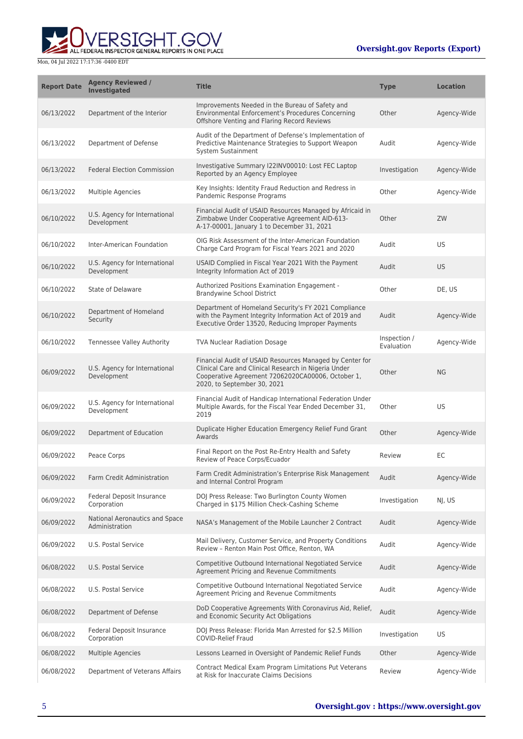

| <b>Report Date</b> | <b>Agency Reviewed /</b><br><b>Investigated</b>  | <b>Title</b>                                                                                                                                                                                         | Type                       | <b>Location</b> |
|--------------------|--------------------------------------------------|------------------------------------------------------------------------------------------------------------------------------------------------------------------------------------------------------|----------------------------|-----------------|
| 06/13/2022         | Department of the Interior                       | Improvements Needed in the Bureau of Safety and<br>Environmental Enforcement's Procedures Concerning<br>Offshore Venting and Flaring Record Reviews                                                  | Other                      | Agency-Wide     |
| 06/13/2022         | Department of Defense                            | Audit of the Department of Defense's Implementation of<br>Predictive Maintenance Strategies to Support Weapon<br>System Sustainment                                                                  | Audit                      | Agency-Wide     |
| 06/13/2022         | <b>Federal Election Commission</b>               | Investigative Summary I22INV00010: Lost FEC Laptop<br>Reported by an Agency Employee                                                                                                                 | Investigation              | Agency-Wide     |
| 06/13/2022         | Multiple Agencies                                | Key Insights: Identity Fraud Reduction and Redress in<br>Pandemic Response Programs                                                                                                                  | Other                      | Agency-Wide     |
| 06/10/2022         | U.S. Agency for International<br>Development     | Financial Audit of USAID Resources Managed by Africaid in<br>Zimbabwe Under Cooperative Agreement AID-613-<br>A-17-00001, January 1 to December 31, 2021                                             | Other                      | ZW              |
| 06/10/2022         | Inter-American Foundation                        | OIG Risk Assessment of the Inter-American Foundation<br>Charge Card Program for Fiscal Years 2021 and 2020                                                                                           | Audit                      | <b>US</b>       |
| 06/10/2022         | U.S. Agency for International<br>Development     | USAID Complied in Fiscal Year 2021 With the Payment<br>Integrity Information Act of 2019                                                                                                             | Audit                      | US.             |
| 06/10/2022         | State of Delaware                                | Authorized Positions Examination Engagement -<br>Brandywine School District                                                                                                                          | Other                      | DE, US          |
| 06/10/2022         | Department of Homeland<br>Security               | Department of Homeland Security's FY 2021 Compliance<br>with the Payment Integrity Information Act of 2019 and<br>Executive Order 13520, Reducing Improper Payments                                  | Audit                      | Agency-Wide     |
| 06/10/2022         | Tennessee Valley Authority                       | <b>TVA Nuclear Radiation Dosage</b>                                                                                                                                                                  | Inspection /<br>Evaluation | Agency-Wide     |
| 06/09/2022         | U.S. Agency for International<br>Development     | Financial Audit of USAID Resources Managed by Center for<br>Clinical Care and Clinical Research in Nigeria Under<br>Cooperative Agreement 72062020CA00006, October 1,<br>2020, to September 30, 2021 | Other                      | <b>NG</b>       |
| 06/09/2022         | U.S. Agency for International<br>Development     | Financial Audit of Handicap International Federation Under<br>Multiple Awards, for the Fiscal Year Ended December 31,<br>2019                                                                        | Other                      | <b>US</b>       |
| 06/09/2022         | Department of Education                          | Duplicate Higher Education Emergency Relief Fund Grant<br>Awards                                                                                                                                     | Other                      | Agency-Wide     |
| 06/09/2022         | Peace Corps                                      | Final Report on the Post Re-Entry Health and Safety<br>Review of Peace Corps/Ecuador                                                                                                                 | Review                     | ЕC              |
| 06/09/2022         | Farm Credit Administration                       | Farm Credit Administration's Enterprise Risk Management<br>and Internal Control Program                                                                                                              | Audit                      | Agency-Wide     |
| 06/09/2022         | Federal Deposit Insurance<br>Corporation         | DOJ Press Release: Two Burlington County Women<br>Charged in \$175 Million Check-Cashing Scheme                                                                                                      | Investigation              | NJ, US          |
| 06/09/2022         | National Aeronautics and Space<br>Administration | NASA's Management of the Mobile Launcher 2 Contract                                                                                                                                                  | Audit                      | Agency-Wide     |
| 06/09/2022         | U.S. Postal Service                              | Mail Delivery, Customer Service, and Property Conditions<br>Review - Renton Main Post Office, Renton, WA                                                                                             | Audit                      | Agency-Wide     |
| 06/08/2022         | U.S. Postal Service                              | Competitive Outbound International Negotiated Service<br>Agreement Pricing and Revenue Commitments                                                                                                   | Audit                      | Agency-Wide     |
| 06/08/2022         | U.S. Postal Service                              | Competitive Outbound International Negotiated Service<br>Agreement Pricing and Revenue Commitments                                                                                                   | Audit                      | Agency-Wide     |
| 06/08/2022         | Department of Defense                            | DoD Cooperative Agreements With Coronavirus Aid, Relief,<br>and Economic Security Act Obligations                                                                                                    | Audit                      | Agency-Wide     |
| 06/08/2022         | Federal Deposit Insurance<br>Corporation         | DOJ Press Release: Florida Man Arrested for \$2.5 Million<br><b>COVID-Relief Fraud</b>                                                                                                               | Investigation              | US              |
| 06/08/2022         | <b>Multiple Agencies</b>                         | Lessons Learned in Oversight of Pandemic Relief Funds                                                                                                                                                | Other                      | Agency-Wide     |
| 06/08/2022         | Department of Veterans Affairs                   | Contract Medical Exam Program Limitations Put Veterans<br>at Risk for Inaccurate Claims Decisions                                                                                                    | Review                     | Agency-Wide     |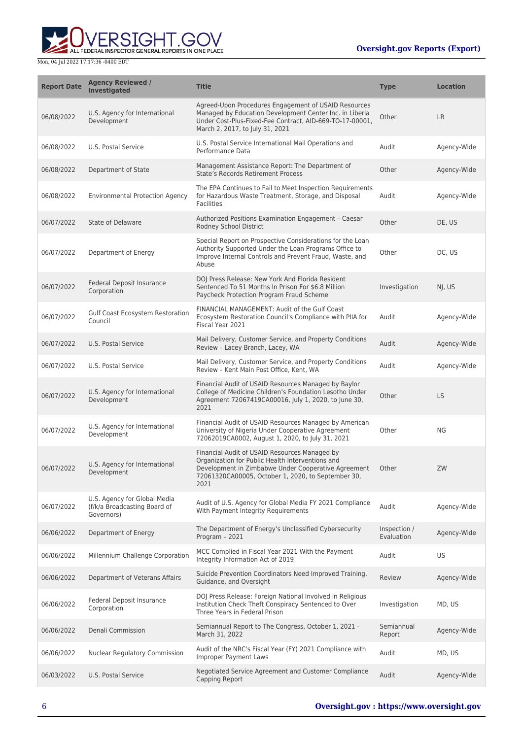**WERSIGHT.GOV** 

| <b>Report Date</b> | <b>Agency Reviewed /</b><br><b>Investigated</b>                            | <b>Title</b>                                                                                                                                                                                                           | <b>Type</b>                | <b>Location</b> |
|--------------------|----------------------------------------------------------------------------|------------------------------------------------------------------------------------------------------------------------------------------------------------------------------------------------------------------------|----------------------------|-----------------|
| 06/08/2022         | U.S. Agency for International<br>Development                               | Agreed-Upon Procedures Engagement of USAID Resources<br>Managed by Education Development Center Inc. in Liberia<br>Under Cost-Plus-Fixed-Fee Contract, AID-669-TO-17-00001,<br>March 2, 2017, to July 31, 2021         | Other                      | <b>LR</b>       |
| 06/08/2022         | U.S. Postal Service                                                        | U.S. Postal Service International Mail Operations and<br>Performance Data                                                                                                                                              | Audit                      | Agency-Wide     |
| 06/08/2022         | Department of State                                                        | Management Assistance Report: The Department of<br><b>State's Records Retirement Process</b>                                                                                                                           | Other                      | Agency-Wide     |
| 06/08/2022         | <b>Environmental Protection Agency</b>                                     | The EPA Continues to Fail to Meet Inspection Requirements<br>for Hazardous Waste Treatment, Storage, and Disposal<br><b>Facilities</b>                                                                                 | Audit                      | Agency-Wide     |
| 06/07/2022         | State of Delaware                                                          | Authorized Positions Examination Engagement - Caesar<br>Rodney School District                                                                                                                                         | Other                      | DE, US          |
| 06/07/2022         | Department of Energy                                                       | Special Report on Prospective Considerations for the Loan<br>Authority Supported Under the Loan Programs Office to<br>Improve Internal Controls and Prevent Fraud, Waste, and<br>Abuse                                 | Other                      | DC, US          |
| 06/07/2022         | Federal Deposit Insurance<br>Corporation                                   | DOJ Press Release: New York And Florida Resident<br>Sentenced To 51 Months In Prison For \$6.8 Million<br>Paycheck Protection Program Fraud Scheme                                                                     | Investigation              | NJ, US          |
| 06/07/2022         | Gulf Coast Ecosystem Restoration<br>Council                                | FINANCIAL MANAGEMENT: Audit of the Gulf Coast<br>Ecosystem Restoration Council's Compliance with PIIA for<br>Fiscal Year 2021                                                                                          | Audit                      | Agency-Wide     |
| 06/07/2022         | U.S. Postal Service                                                        | Mail Delivery, Customer Service, and Property Conditions<br>Review - Lacey Branch, Lacey, WA                                                                                                                           | Audit                      | Agency-Wide     |
| 06/07/2022         | U.S. Postal Service                                                        | Mail Delivery, Customer Service, and Property Conditions<br>Review - Kent Main Post Office, Kent, WA                                                                                                                   | Audit                      | Agency-Wide     |
| 06/07/2022         | U.S. Agency for International<br>Development                               | Financial Audit of USAID Resources Managed by Baylor<br>College of Medicine Children's Foundation Lesotho Under<br>Agreement 72067419CA00016, July 1, 2020, to June 30,<br>2021                                        | Other                      | <b>LS</b>       |
| 06/07/2022         | U.S. Agency for International<br>Development                               | Financial Audit of USAID Resources Managed by American<br>University of Nigeria Under Cooperative Agreement<br>72062019CA0002, August 1, 2020, to July 31, 2021                                                        | Other                      | ΝG              |
| 06/07/2022         | U.S. Agency for International<br>Development                               | Financial Audit of USAID Resources Managed by<br>Organization for Public Health Interventions and<br>Development in Zimbabwe Under Cooperative Agreement<br>72061320CA00005, October 1, 2020, to September 30,<br>2021 | Other                      | ZW              |
| 06/07/2022         | U.S. Agency for Global Media<br>(f/k/a Broadcasting Board of<br>Governors) | Audit of U.S. Agency for Global Media FY 2021 Compliance<br>With Payment Integrity Requirements                                                                                                                        | Audit                      | Agency-Wide     |
| 06/06/2022         | Department of Energy                                                       | The Department of Energy's Unclassified Cybersecurity<br>Program - 2021                                                                                                                                                | Inspection /<br>Evaluation | Agency-Wide     |
| 06/06/2022         | Millennium Challenge Corporation                                           | MCC Complied in Fiscal Year 2021 With the Payment<br>Integrity Information Act of 2019                                                                                                                                 | Audit                      | US.             |
| 06/06/2022         | Department of Veterans Affairs                                             | Suicide Prevention Coordinators Need Improved Training,<br>Guidance, and Oversight                                                                                                                                     | Review                     | Agency-Wide     |
| 06/06/2022         | Federal Deposit Insurance<br>Corporation                                   | DOJ Press Release: Foreign National Involved in Religious<br>Institution Check Theft Conspiracy Sentenced to Over<br>Three Years in Federal Prison                                                                     | Investigation              | MD, US          |
| 06/06/2022         | Denali Commission                                                          | Semiannual Report to The Congress, October 1, 2021 -<br>March 31, 2022                                                                                                                                                 | Semiannual<br>Report       | Agency-Wide     |
| 06/06/2022         | Nuclear Regulatory Commission                                              | Audit of the NRC's Fiscal Year (FY) 2021 Compliance with<br><b>Improper Payment Laws</b>                                                                                                                               | Audit                      | MD, US          |
| 06/03/2022         | U.S. Postal Service                                                        | Negotiated Service Agreement and Customer Compliance<br>Capping Report                                                                                                                                                 | Audit                      | Agency-Wide     |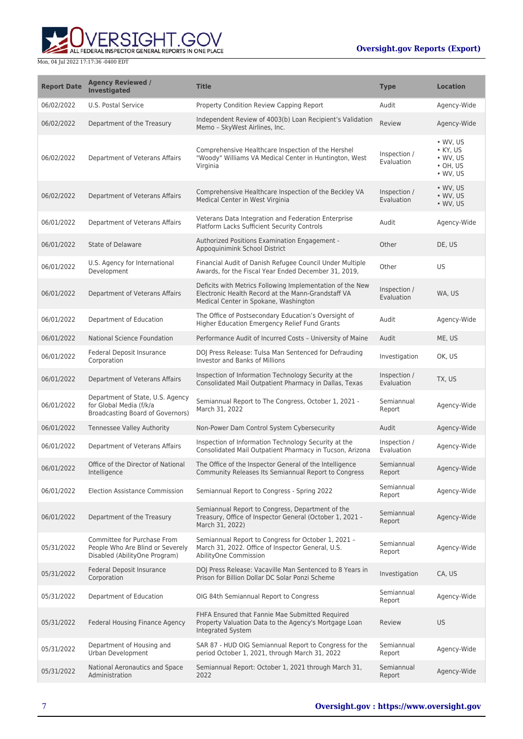**WERSIGHT.GOV** 

| <b>Report Date</b> | <b>Agency Reviewed /</b><br><b>Investigated</b>                                                        | <b>Title</b>                                                                                                                                             | <b>Type</b>                | <b>Location</b>                                                                                |
|--------------------|--------------------------------------------------------------------------------------------------------|----------------------------------------------------------------------------------------------------------------------------------------------------------|----------------------------|------------------------------------------------------------------------------------------------|
| 06/02/2022         | U.S. Postal Service                                                                                    | Property Condition Review Capping Report                                                                                                                 | Audit                      | Agency-Wide                                                                                    |
| 06/02/2022         | Department of the Treasury                                                                             | Independent Review of 4003(b) Loan Recipient's Validation<br>Memo - SkyWest Airlines, Inc.                                                               | Review                     | Agency-Wide                                                                                    |
| 06/02/2022         | Department of Veterans Affairs                                                                         | Comprehensive Healthcare Inspection of the Hershel<br>"Woody" Williams VA Medical Center in Huntington, West<br>Virginia                                 | Inspection /<br>Evaluation | $\bullet$ WV, US<br>$\bullet$ KY, US<br>$\bullet$ WV, US<br>$\cdot$ OH, US<br>$\bullet$ WV, US |
| 06/02/2022         | Department of Veterans Affairs                                                                         | Comprehensive Healthcare Inspection of the Beckley VA<br>Medical Center in West Virginia                                                                 | Inspection /<br>Evaluation | $\bullet$ WV, US<br>$\bullet$ WV, US<br>$\bullet$ WV, US                                       |
| 06/01/2022         | Department of Veterans Affairs                                                                         | Veterans Data Integration and Federation Enterprise<br>Platform Lacks Sufficient Security Controls                                                       | Audit                      | Agency-Wide                                                                                    |
| 06/01/2022         | <b>State of Delaware</b>                                                                               | Authorized Positions Examination Engagement -<br>Appoquinimink School District                                                                           | Other                      | DE, US                                                                                         |
| 06/01/2022         | U.S. Agency for International<br>Development                                                           | Financial Audit of Danish Refugee Council Under Multiple<br>Awards, for the Fiscal Year Ended December 31, 2019,                                         | Other                      | US                                                                                             |
| 06/01/2022         | Department of Veterans Affairs                                                                         | Deficits with Metrics Following Implementation of the New<br>Electronic Health Record at the Mann-Grandstaff VA<br>Medical Center in Spokane, Washington | Inspection /<br>Evaluation | WA, US                                                                                         |
| 06/01/2022         | Department of Education                                                                                | The Office of Postsecondary Education's Oversight of<br>Higher Education Emergency Relief Fund Grants                                                    | Audit                      | Agency-Wide                                                                                    |
| 06/01/2022         | National Science Foundation                                                                            | Performance Audit of Incurred Costs - University of Maine                                                                                                | Audit                      | ME, US                                                                                         |
| 06/01/2022         | Federal Deposit Insurance<br>Corporation                                                               | DOJ Press Release: Tulsa Man Sentenced for Defrauding<br><b>Investor and Banks of Millions</b>                                                           | Investigation              | OK, US                                                                                         |
| 06/01/2022         | Department of Veterans Affairs                                                                         | Inspection of Information Technology Security at the<br>Consolidated Mail Outpatient Pharmacy in Dallas, Texas                                           | Inspection /<br>Evaluation | TX, US                                                                                         |
| 06/01/2022         | Department of State, U.S. Agency<br>for Global Media (f/k/a<br><b>Broadcasting Board of Governors)</b> | Semiannual Report to The Congress, October 1, 2021 -<br>March 31, 2022                                                                                   | Semiannual<br>Report       | Agency-Wide                                                                                    |
| 06/01/2022         | Tennessee Valley Authority                                                                             | Non-Power Dam Control System Cybersecurity                                                                                                               | Audit                      | Agency-Wide                                                                                    |
| 06/01/2022         | Department of Veterans Affairs                                                                         | Inspection of Information Technology Security at the<br>Consolidated Mail Outpatient Pharmacy in Tucson, Arizona                                         | Inspection /<br>Evaluation | Agency-Wide                                                                                    |
| 06/01/2022         | Office of the Director of National<br>Intelligence                                                     | The Office of the Inspector General of the Intelligence<br>Community Releases Its Semiannual Report to Congress                                          | Semiannual<br>Report       | Agency-Wide                                                                                    |
| 06/01/2022         | <b>Election Assistance Commission</b>                                                                  | Semiannual Report to Congress - Spring 2022                                                                                                              | Semiannual<br>Report       | Agency-Wide                                                                                    |
| 06/01/2022         | Department of the Treasury                                                                             | Semiannual Report to Congress, Department of the<br>Treasury, Office of Inspector General (October 1, 2021 -<br>March 31, 2022)                          | Semiannual<br>Report       | Agency-Wide                                                                                    |
| 05/31/2022         | Committee for Purchase From<br>People Who Are Blind or Severely<br>Disabled (AbilityOne Program)       | Semiannual Report to Congress for October 1, 2021 -<br>March 31, 2022. Office of Inspector General, U.S.<br>AbilityOne Commission                        | Semiannual<br>Report       | Agency-Wide                                                                                    |
| 05/31/2022         | Federal Deposit Insurance<br>Corporation                                                               | DOJ Press Release: Vacaville Man Sentenced to 8 Years in<br>Prison for Billion Dollar DC Solar Ponzi Scheme                                              | Investigation              | CA, US                                                                                         |
| 05/31/2022         | Department of Education                                                                                | OIG 84th Semiannual Report to Congress                                                                                                                   | Semiannual<br>Report       | Agency-Wide                                                                                    |
| 05/31/2022         | Federal Housing Finance Agency                                                                         | FHFA Ensured that Fannie Mae Submitted Required<br>Property Valuation Data to the Agency's Mortgage Loan<br>Integrated System                            | Review                     | US                                                                                             |
| 05/31/2022         | Department of Housing and<br>Urban Development                                                         | SAR 87 - HUD OIG Semiannual Report to Congress for the<br>period October 1, 2021, through March 31, 2022                                                 | Semiannual<br>Report       | Agency-Wide                                                                                    |
| 05/31/2022         | National Aeronautics and Space<br>Administration                                                       | Semiannual Report: October 1, 2021 through March 31,<br>2022                                                                                             | Semiannual<br>Report       | Agency-Wide                                                                                    |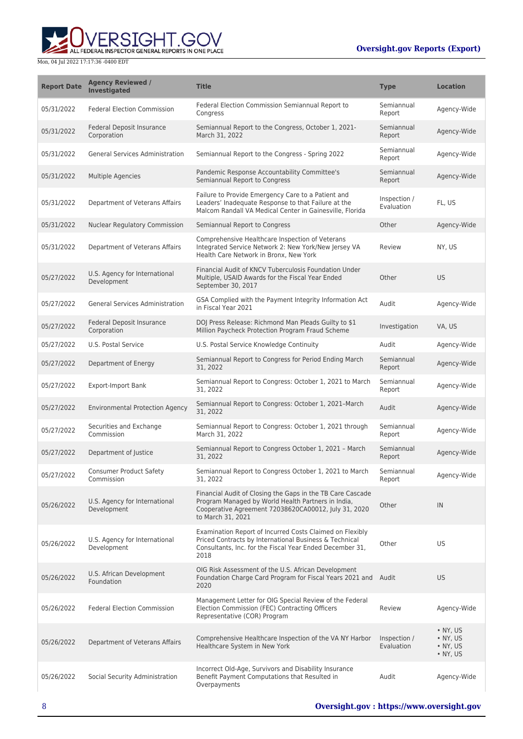

| <b>Report Date</b> | <b>Agency Reviewed /</b><br><b>Investigated</b> | <b>Title</b>                                                                                                                                                                                  | <b>Type</b>                | <b>Location</b>                                                              |
|--------------------|-------------------------------------------------|-----------------------------------------------------------------------------------------------------------------------------------------------------------------------------------------------|----------------------------|------------------------------------------------------------------------------|
| 05/31/2022         | <b>Federal Election Commission</b>              | Federal Election Commission Semiannual Report to<br>Congress                                                                                                                                  | Semiannual<br>Report       | Agency-Wide                                                                  |
| 05/31/2022         | <b>Federal Deposit Insurance</b><br>Corporation | Semiannual Report to the Congress, October 1, 2021-<br>March 31, 2022                                                                                                                         | Semiannual<br>Report       | Agency-Wide                                                                  |
| 05/31/2022         | <b>General Services Administration</b>          | Semiannual Report to the Congress - Spring 2022                                                                                                                                               | Semiannual<br>Report       | Agency-Wide                                                                  |
| 05/31/2022         | <b>Multiple Agencies</b>                        | Pandemic Response Accountability Committee's<br>Semiannual Report to Congress                                                                                                                 | Semiannual<br>Report       | Agency-Wide                                                                  |
| 05/31/2022         | Department of Veterans Affairs                  | Failure to Provide Emergency Care to a Patient and<br>Leaders' Inadequate Response to that Failure at the<br>Malcom Randall VA Medical Center in Gainesville, Florida                         | Inspection /<br>Evaluation | FL, US                                                                       |
| 05/31/2022         | <b>Nuclear Regulatory Commission</b>            | Semiannual Report to Congress                                                                                                                                                                 | Other                      | Agency-Wide                                                                  |
| 05/31/2022         | Department of Veterans Affairs                  | Comprehensive Healthcare Inspection of Veterans<br>Integrated Service Network 2: New York/New Jersey VA<br>Health Care Network in Bronx, New York                                             | Review                     | NY, US                                                                       |
| 05/27/2022         | U.S. Agency for International<br>Development    | Financial Audit of KNCV Tuberculosis Foundation Under<br>Multiple, USAID Awards for the Fiscal Year Ended<br>September 30, 2017                                                               | Other                      | <b>US</b>                                                                    |
| 05/27/2022         | <b>General Services Administration</b>          | GSA Complied with the Payment Integrity Information Act<br>in Fiscal Year 2021                                                                                                                | Audit                      | Agency-Wide                                                                  |
| 05/27/2022         | Federal Deposit Insurance<br>Corporation        | DOJ Press Release: Richmond Man Pleads Guilty to \$1<br>Million Paycheck Protection Program Fraud Scheme                                                                                      | Investigation              | VA, US                                                                       |
| 05/27/2022         | U.S. Postal Service                             | U.S. Postal Service Knowledge Continuity                                                                                                                                                      | Audit                      | Agency-Wide                                                                  |
| 05/27/2022         | Department of Energy                            | Semiannual Report to Congress for Period Ending March<br>31, 2022                                                                                                                             | Semiannual<br>Report       | Agency-Wide                                                                  |
| 05/27/2022         | <b>Export-Import Bank</b>                       | Semiannual Report to Congress: October 1, 2021 to March<br>31, 2022                                                                                                                           | Semiannual<br>Report       | Agency-Wide                                                                  |
| 05/27/2022         | <b>Environmental Protection Agency</b>          | Semiannual Report to Congress: October 1, 2021-March<br>31, 2022                                                                                                                              | Audit                      | Agency-Wide                                                                  |
| 05/27/2022         | Securities and Exchange<br>Commission           | Semiannual Report to Congress: October 1, 2021 through<br>March 31, 2022                                                                                                                      | Semiannual<br>Report       | Agency-Wide                                                                  |
| 05/27/2022         | Department of Justice                           | Semiannual Report to Congress October 1, 2021 - March<br>31, 2022                                                                                                                             | Semiannual<br>Report       | Agency-Wide                                                                  |
| 05/27/2022         | <b>Consumer Product Safety</b><br>Commission    | Semiannual Report to Congress October 1, 2021 to March<br>31, 2022                                                                                                                            | Semiannual<br>Report       | Agency-Wide                                                                  |
| 05/26/2022         | U.S. Agency for International<br>Development    | Financial Audit of Closing the Gaps in the TB Care Cascade<br>Program Managed by World Health Partners in India,<br>Cooperative Agreement 72038620CA00012, July 31, 2020<br>to March 31, 2021 | Other                      | IN                                                                           |
| 05/26/2022         | U.S. Agency for International<br>Development    | Examination Report of Incurred Costs Claimed on Flexibly<br>Priced Contracts by International Business & Technical<br>Consultants, Inc. for the Fiscal Year Ended December 31,<br>2018        | Other                      | US                                                                           |
| 05/26/2022         | U.S. African Development<br>Foundation          | OIG Risk Assessment of the U.S. African Development<br>Foundation Charge Card Program for Fiscal Years 2021 and Audit<br>2020                                                                 |                            | <b>US</b>                                                                    |
| 05/26/2022         | <b>Federal Election Commission</b>              | Management Letter for OIG Special Review of the Federal<br>Election Commission (FEC) Contracting Officers<br>Representative (COR) Program                                                     | Review                     | Agency-Wide                                                                  |
| 05/26/2022         | Department of Veterans Affairs                  | Comprehensive Healthcare Inspection of the VA NY Harbor<br>Healthcare System in New York                                                                                                      | Inspection /<br>Evaluation | $\bullet$ NY, US<br>$\bullet$ NY, US<br>$\bullet$ NY, US<br>$\bullet$ NY, US |
| 05/26/2022         | Social Security Administration                  | Incorrect Old-Age, Survivors and Disability Insurance<br>Benefit Payment Computations that Resulted in<br>Overpayments                                                                        | Audit                      | Agency-Wide                                                                  |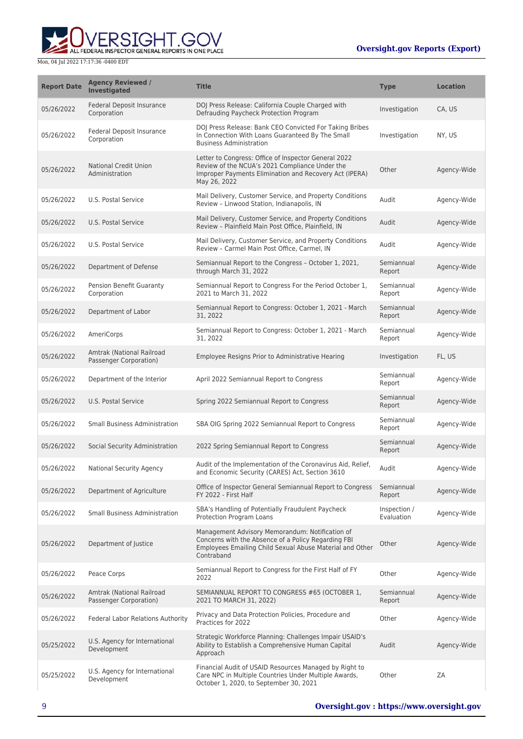

| <b>Report Date</b> | <b>Agency Reviewed /</b><br>Investigated            | <b>Title</b>                                                                                                                                                                     | <b>Type</b>                | <b>Location</b> |
|--------------------|-----------------------------------------------------|----------------------------------------------------------------------------------------------------------------------------------------------------------------------------------|----------------------------|-----------------|
| 05/26/2022         | Federal Deposit Insurance<br>Corporation            | DOJ Press Release: California Couple Charged with<br>Defrauding Paycheck Protection Program                                                                                      | Investigation              | CA, US          |
| 05/26/2022         | Federal Deposit Insurance<br>Corporation            | DOJ Press Release: Bank CEO Convicted For Taking Bribes<br>In Connection With Loans Guaranteed By The Small<br><b>Business Administration</b>                                    | Investigation              | NY, US          |
| 05/26/2022         | <b>National Credit Union</b><br>Administration      | Letter to Congress: Office of Inspector General 2022<br>Review of the NCUA's 2021 Compliance Under the<br>Improper Payments Elimination and Recovery Act (IPERA)<br>May 26, 2022 | Other                      | Agency-Wide     |
| 05/26/2022         | U.S. Postal Service                                 | Mail Delivery, Customer Service, and Property Conditions<br>Review - Linwood Station, Indianapolis, IN                                                                           | Audit                      | Agency-Wide     |
| 05/26/2022         | U.S. Postal Service                                 | Mail Delivery, Customer Service, and Property Conditions<br>Review - Plainfield Main Post Office, Plainfield, IN                                                                 | Audit                      | Agency-Wide     |
| 05/26/2022         | U.S. Postal Service                                 | Mail Delivery, Customer Service, and Property Conditions<br>Review - Carmel Main Post Office, Carmel, IN                                                                         | Audit                      | Agency-Wide     |
| 05/26/2022         | Department of Defense                               | Semiannual Report to the Congress - October 1, 2021,<br>through March 31, 2022                                                                                                   | Semiannual<br>Report       | Agency-Wide     |
| 05/26/2022         | Pension Benefit Guaranty<br>Corporation             | Semiannual Report to Congress For the Period October 1,<br>2021 to March 31, 2022                                                                                                | Semiannual<br>Report       | Agency-Wide     |
| 05/26/2022         | Department of Labor                                 | Semiannual Report to Congress: October 1, 2021 - March<br>31, 2022                                                                                                               | Semiannual<br>Report       | Agency-Wide     |
| 05/26/2022         | AmeriCorps                                          | Semiannual Report to Congress: October 1, 2021 - March<br>31, 2022                                                                                                               | Semiannual<br>Report       | Agency-Wide     |
| 05/26/2022         | Amtrak (National Railroad<br>Passenger Corporation) | Employee Resigns Prior to Administrative Hearing                                                                                                                                 | Investigation              | FL, US          |
| 05/26/2022         | Department of the Interior                          | April 2022 Semiannual Report to Congress                                                                                                                                         | Semiannual<br>Report       | Agency-Wide     |
| 05/26/2022         | U.S. Postal Service                                 | Spring 2022 Semiannual Report to Congress                                                                                                                                        | Semiannual<br>Report       | Agency-Wide     |
| 05/26/2022         | <b>Small Business Administration</b>                | SBA OIG Spring 2022 Semiannual Report to Congress                                                                                                                                | Semiannual<br>Report       | Agency-Wide     |
| 05/26/2022         | Social Security Administration                      | 2022 Spring Semiannual Report to Congress                                                                                                                                        | Semiannual<br>Report       | Agency-Wide     |
| 05/26/2022         | <b>National Security Agency</b>                     | Audit of the Implementation of the Coronavirus Aid, Relief,<br>and Economic Security (CARES) Act, Section 3610                                                                   | Audit                      | Agency-Wide     |
| 05/26/2022         | Department of Agriculture                           | Office of Inspector General Semiannual Report to Congress<br>FY 2022 - First Half                                                                                                | Semiannual<br>Report       | Agency-Wide     |
| 05/26/2022         | <b>Small Business Administration</b>                | SBA's Handling of Potentially Fraudulent Paycheck<br>Protection Program Loans                                                                                                    | Inspection /<br>Evaluation | Agency-Wide     |
| 05/26/2022         | Department of Justice                               | Management Advisory Memorandum: Notification of<br>Concerns with the Absence of a Policy Regarding FBI<br>Employees Emailing Child Sexual Abuse Material and Other<br>Contraband | Other                      | Agency-Wide     |
| 05/26/2022         | Peace Corps                                         | Semiannual Report to Congress for the First Half of FY<br>2022                                                                                                                   | Other                      | Agency-Wide     |
| 05/26/2022         | Amtrak (National Railroad<br>Passenger Corporation) | SEMIANNUAL REPORT TO CONGRESS #65 (OCTOBER 1,<br>2021 TO MARCH 31, 2022)                                                                                                         | Semiannual<br>Report       | Agency-Wide     |
| 05/26/2022         | <b>Federal Labor Relations Authority</b>            | Privacy and Data Protection Policies, Procedure and<br>Practices for 2022                                                                                                        | Other                      | Agency-Wide     |
| 05/25/2022         | U.S. Agency for International<br>Development        | Strategic Workforce Planning: Challenges Impair USAID's<br>Ability to Establish a Comprehensive Human Capital<br>Approach                                                        | Audit                      | Agency-Wide     |
| 05/25/2022         | U.S. Agency for International<br>Development        | Financial Audit of USAID Resources Managed by Right to<br>Care NPC in Multiple Countries Under Multiple Awards,<br>October 1, 2020, to September 30, 2021                        | Other                      | ZΑ              |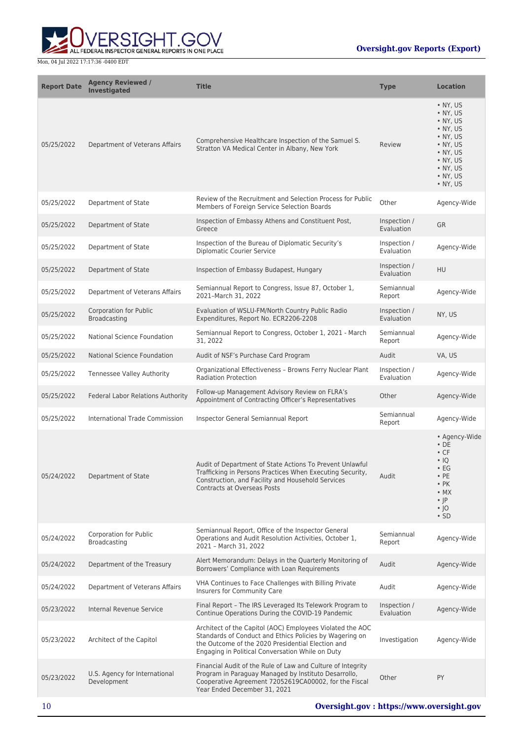

| <b>Report Date</b> | <b>Agency Reviewed /</b><br><b>Investigated</b>      | <b>Title</b>                                                                                                                                                                                                                  | <b>Type</b>                | <b>Location</b>                                                                                                                                             |
|--------------------|------------------------------------------------------|-------------------------------------------------------------------------------------------------------------------------------------------------------------------------------------------------------------------------------|----------------------------|-------------------------------------------------------------------------------------------------------------------------------------------------------------|
| 05/25/2022         | Department of Veterans Affairs                       | Comprehensive Healthcare Inspection of the Samuel S.<br>Stratton VA Medical Center in Albany, New York                                                                                                                        | Review                     | • NY, US<br>$\bullet$ NY, US<br>• NY, US<br>• NY, US<br>• NY, US<br>$\bullet$ NY, US<br>• NY, US<br>• NY, US<br>$\cdot$ NY, US<br>• NY, US<br>• NY, US      |
| 05/25/2022         | Department of State                                  | Review of the Recruitment and Selection Process for Public<br>Members of Foreign Service Selection Boards                                                                                                                     | Other                      | Agency-Wide                                                                                                                                                 |
| 05/25/2022         | Department of State                                  | Inspection of Embassy Athens and Constituent Post,<br>Greece                                                                                                                                                                  | Inspection /<br>Evaluation | <b>GR</b>                                                                                                                                                   |
| 05/25/2022         | Department of State                                  | Inspection of the Bureau of Diplomatic Security's<br><b>Diplomatic Courier Service</b>                                                                                                                                        | Inspection /<br>Evaluation | Agency-Wide                                                                                                                                                 |
| 05/25/2022         | Department of State                                  | Inspection of Embassy Budapest, Hungary                                                                                                                                                                                       | Inspection /<br>Evaluation | <b>HU</b>                                                                                                                                                   |
| 05/25/2022         | Department of Veterans Affairs                       | Semiannual Report to Congress, Issue 87, October 1,<br>2021-March 31, 2022                                                                                                                                                    | Semiannual<br>Report       | Agency-Wide                                                                                                                                                 |
| 05/25/2022         | <b>Corporation for Public</b><br>Broadcasting        | Evaluation of WSLU-FM/North Country Public Radio<br>Expenditures, Report No. ECR2206-2208                                                                                                                                     | Inspection /<br>Evaluation | NY, US                                                                                                                                                      |
| 05/25/2022         | National Science Foundation                          | Semiannual Report to Congress, October 1, 2021 - March<br>31, 2022                                                                                                                                                            | Semiannual<br>Report       | Agency-Wide                                                                                                                                                 |
| 05/25/2022         | <b>National Science Foundation</b>                   | Audit of NSF's Purchase Card Program                                                                                                                                                                                          | Audit                      | VA, US                                                                                                                                                      |
| 05/25/2022         | Tennessee Valley Authority                           | Organizational Effectiveness - Browns Ferry Nuclear Plant<br><b>Radiation Protection</b>                                                                                                                                      | Inspection /<br>Evaluation | Agency-Wide                                                                                                                                                 |
| 05/25/2022         | Federal Labor Relations Authority                    | Follow-up Management Advisory Review on FLRA's<br>Appointment of Contracting Officer's Representatives                                                                                                                        | Other                      | Agency-Wide                                                                                                                                                 |
| 05/25/2022         | International Trade Commission                       | Inspector General Semiannual Report                                                                                                                                                                                           | Semiannual<br>Report       | Agency-Wide                                                                                                                                                 |
| 05/24/2022         | Department of State                                  | Audit of Department of State Actions To Prevent Unlawful<br>Trafficking in Persons Practices When Executing Security,<br>Construction, and Facility and Household Services<br><b>Contracts at Overseas Posts</b>              | Audit                      | • Agency-Wide<br>$\cdot$ DE<br>$\cdot$ CF<br>$\cdot$ IQ<br>$\cdot$ EG<br>$\cdot$ PE<br>$\cdot$ PK<br>$\bullet$ MX<br>$\cdot$  P<br>$\cdot$  O<br>$\cdot$ SD |
| 05/24/2022         | <b>Corporation for Public</b><br><b>Broadcasting</b> | Semiannual Report, Office of the Inspector General<br>Operations and Audit Resolution Activities, October 1,<br>2021 - March 31, 2022                                                                                         | Semiannual<br>Report       | Agency-Wide                                                                                                                                                 |
| 05/24/2022         | Department of the Treasury                           | Alert Memorandum: Delays in the Quarterly Monitoring of<br>Borrowers' Compliance with Loan Requirements                                                                                                                       | Audit                      | Agency-Wide                                                                                                                                                 |
| 05/24/2022         | Department of Veterans Affairs                       | VHA Continues to Face Challenges with Billing Private<br>Insurers for Community Care                                                                                                                                          | Audit                      | Agency-Wide                                                                                                                                                 |
| 05/23/2022         | Internal Revenue Service                             | Final Report - The IRS Leveraged Its Telework Program to<br>Continue Operations During the COVID-19 Pandemic                                                                                                                  | Inspection /<br>Evaluation | Agency-Wide                                                                                                                                                 |
| 05/23/2022         | Architect of the Capitol                             | Architect of the Capitol (AOC) Employees Violated the AOC<br>Standards of Conduct and Ethics Policies by Wagering on<br>the Outcome of the 2020 Presidential Election and<br>Engaging in Political Conversation While on Duty | Investigation              | Agency-Wide                                                                                                                                                 |
| 05/23/2022         | U.S. Agency for International<br>Development         | Financial Audit of the Rule of Law and Culture of Integrity<br>Program in Paraguay Managed by Instituto Desarrollo,<br>Cooperative Agreement 72052619CA00002, for the Fiscal<br>Year Ended December 31, 2021                  | Other                      | PY                                                                                                                                                          |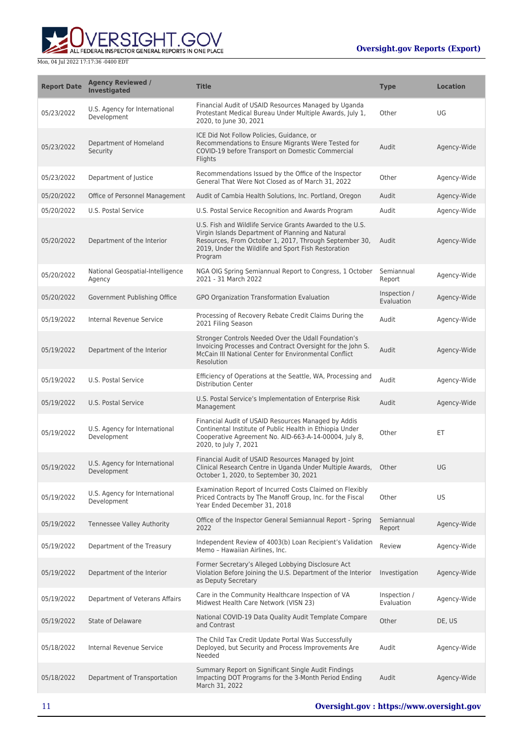

| <b>Report Date</b> | <b>Agency Reviewed /</b><br><b>Investigated</b> | <b>Title</b>                                                                                                                                                                                                                               | <b>Type</b>                | <b>Location</b> |
|--------------------|-------------------------------------------------|--------------------------------------------------------------------------------------------------------------------------------------------------------------------------------------------------------------------------------------------|----------------------------|-----------------|
| 05/23/2022         | U.S. Agency for International<br>Development    | Financial Audit of USAID Resources Managed by Uganda<br>Protestant Medical Bureau Under Multiple Awards, July 1,<br>2020, to June 30, 2021                                                                                                 | Other                      | UG              |
| 05/23/2022         | Department of Homeland<br>Security              | ICE Did Not Follow Policies, Guidance, or<br>Recommendations to Ensure Migrants Were Tested for<br>COVID-19 before Transport on Domestic Commercial<br>Flights                                                                             | Audit                      | Agency-Wide     |
| 05/23/2022         | Department of Justice                           | Recommendations Issued by the Office of the Inspector<br>General That Were Not Closed as of March 31, 2022                                                                                                                                 | Other                      | Agency-Wide     |
| 05/20/2022         | Office of Personnel Management                  | Audit of Cambia Health Solutions, Inc. Portland, Oregon                                                                                                                                                                                    | Audit                      | Agency-Wide     |
| 05/20/2022         | U.S. Postal Service                             | U.S. Postal Service Recognition and Awards Program                                                                                                                                                                                         | Audit                      | Agency-Wide     |
| 05/20/2022         | Department of the Interior                      | U.S. Fish and Wildlife Service Grants Awarded to the U.S.<br>Virgin Islands Department of Planning and Natural<br>Resources, From October 1, 2017, Through September 30,<br>2019, Under the Wildlife and Sport Fish Restoration<br>Program | Audit                      | Agency-Wide     |
| 05/20/2022         | National Geospatial-Intelligence<br>Agency      | NGA OIG Spring Semiannual Report to Congress, 1 October<br>2021 - 31 March 2022                                                                                                                                                            | Semiannual<br>Report       | Agency-Wide     |
| 05/20/2022         | Government Publishing Office                    | GPO Organization Transformation Evaluation                                                                                                                                                                                                 | Inspection /<br>Evaluation | Agency-Wide     |
| 05/19/2022         | Internal Revenue Service                        | Processing of Recovery Rebate Credit Claims During the<br>2021 Filing Season                                                                                                                                                               | Audit                      | Agency-Wide     |
| 05/19/2022         | Department of the Interior                      | Stronger Controls Needed Over the Udall Foundation's<br>Invoicing Processes and Contract Oversight for the John S.<br>McCain III National Center for Environmental Conflict<br>Resolution                                                  | Audit                      | Agency-Wide     |
| 05/19/2022         | U.S. Postal Service                             | Efficiency of Operations at the Seattle, WA, Processing and<br><b>Distribution Center</b>                                                                                                                                                  | Audit                      | Agency-Wide     |
| 05/19/2022         | <b>U.S. Postal Service</b>                      | U.S. Postal Service's Implementation of Enterprise Risk<br>Management                                                                                                                                                                      | Audit                      | Agency-Wide     |
| 05/19/2022         | U.S. Agency for International<br>Development    | Financial Audit of USAID Resources Managed by Addis<br>Continental Institute of Public Health in Ethiopia Under<br>Cooperative Agreement No. AID-663-A-14-00004, July 8,<br>2020, to July 7, 2021                                          | Other                      | ET              |
| 05/19/2022         | U.S. Agency for International<br>Development    | Financial Audit of USAID Resources Managed by Joint<br>Clinical Research Centre in Uganda Under Multiple Awards,<br>October 1, 2020, to September 30, 2021                                                                                 | Other                      | UG              |
| 05/19/2022         | U.S. Agency for International<br>Development    | Examination Report of Incurred Costs Claimed on Flexibly<br>Priced Contracts by The Manoff Group, Inc. for the Fiscal<br>Year Ended December 31, 2018                                                                                      | Other                      | US              |
| 05/19/2022         | Tennessee Valley Authority                      | Office of the Inspector General Semiannual Report - Spring<br>2022                                                                                                                                                                         | Semiannual<br>Report       | Agency-Wide     |
| 05/19/2022         | Department of the Treasury                      | Independent Review of 4003(b) Loan Recipient's Validation<br>Memo - Hawaiian Airlines, Inc.                                                                                                                                                | Review                     | Agency-Wide     |
| 05/19/2022         | Department of the Interior                      | Former Secretary's Alleged Lobbying Disclosure Act<br>Violation Before Joining the U.S. Department of the Interior<br>as Deputy Secretary                                                                                                  | Investigation              | Agency-Wide     |
| 05/19/2022         | Department of Veterans Affairs                  | Care in the Community Healthcare Inspection of VA<br>Midwest Health Care Network (VISN 23)                                                                                                                                                 | Inspection /<br>Evaluation | Agency-Wide     |
| 05/19/2022         | <b>State of Delaware</b>                        | National COVID-19 Data Quality Audit Template Compare<br>and Contrast                                                                                                                                                                      | Other                      | DE, US          |
| 05/18/2022         | Internal Revenue Service                        | The Child Tax Credit Update Portal Was Successfully<br>Deployed, but Security and Process Improvements Are<br>Needed                                                                                                                       | Audit                      | Agency-Wide     |
| 05/18/2022         | Department of Transportation                    | Summary Report on Significant Single Audit Findings<br>Impacting DOT Programs for the 3-Month Period Ending<br>March 31, 2022                                                                                                              | Audit                      | Agency-Wide     |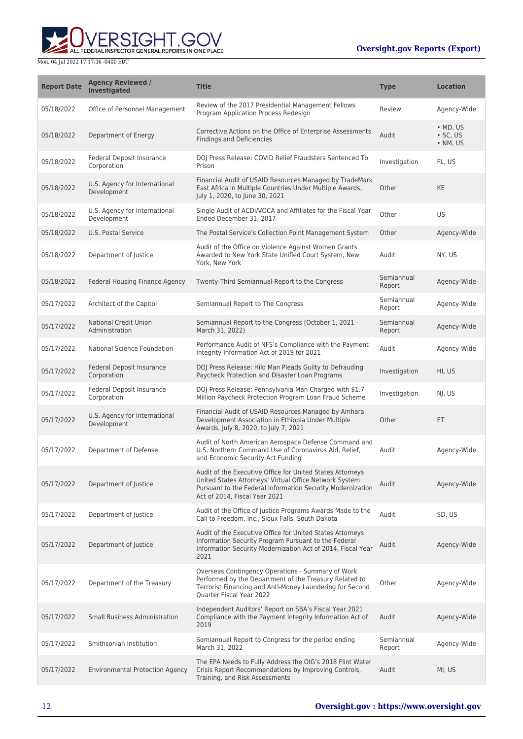ERSIGHT.GOV ALL FEDERAL INSPECTOR GENERAL REPORTS IN ONE PLACE

| <b>Report Date</b> | <b>Agency Reviewed /</b><br><b>Investigated</b> | <b>Title</b>                                                                                                                                                                                                       | Type                 | <b>Location</b>                          |
|--------------------|-------------------------------------------------|--------------------------------------------------------------------------------------------------------------------------------------------------------------------------------------------------------------------|----------------------|------------------------------------------|
| 05/18/2022         | Office of Personnel Management                  | Review of the 2017 Presidential Management Fellows<br>Program Application Process Redesign                                                                                                                         | Review               | Agency-Wide                              |
| 05/18/2022         | Department of Energy                            | Corrective Actions on the Office of Enterprise Assessments<br><b>Findings and Deficiencies</b>                                                                                                                     | Audit                | $·$ MD, US<br>$\cdot$ SC, US<br>• NM, US |
| 05/18/2022         | Federal Deposit Insurance<br>Corporation        | DOJ Press Release: COVID Relief Fraudsters Sentenced To<br>Prison                                                                                                                                                  | Investigation        | FL, US                                   |
| 05/18/2022         | U.S. Agency for International<br>Development    | Financial Audit of USAID Resources Managed by TradeMark<br>East Africa in Multiple Countries Under Multiple Awards,<br>July 1, 2020, to June 30, 2021                                                              | Other                | KE                                       |
| 05/18/2022         | U.S. Agency for International<br>Development    | Single Audit of ACDI/VOCA and Affiliates for the Fiscal Year<br>Ended December 31, 2017                                                                                                                            | Other                | US                                       |
| 05/18/2022         | <b>U.S. Postal Service</b>                      | The Postal Service's Collection Point Management System                                                                                                                                                            | Other                | Agency-Wide                              |
| 05/18/2022         | Department of Justice                           | Audit of the Office on Violence Against Women Grants<br>Awarded to New York State Unified Court System, New<br>York, New York                                                                                      | Audit                | NY, US                                   |
| 05/18/2022         | Federal Housing Finance Agency                  | Twenty-Third Semiannual Report to the Congress                                                                                                                                                                     | Semiannual<br>Report | Agency-Wide                              |
| 05/17/2022         | Architect of the Capitol                        | Semiannual Report to The Congress                                                                                                                                                                                  | Semiannual<br>Report | Agency-Wide                              |
| 05/17/2022         | <b>National Credit Union</b><br>Administration  | Semiannual Report to the Congress (October 1, 2021 -<br>March 31, 2022)                                                                                                                                            | Semiannual<br>Report | Agency-Wide                              |
| 05/17/2022         | National Science Foundation                     | Performance Audit of NFS's Compliance with the Payment<br>Integrity Information Act of 2019 for 2021                                                                                                               | Audit                | Agency-Wide                              |
| 05/17/2022         | Federal Deposit Insurance<br>Corporation        | DOJ Press Release: Hilo Man Pleads Guilty to Defrauding<br>Paycheck Protection and Disaster Loan Programs                                                                                                          | Investigation        | HI, US                                   |
| 05/17/2022         | Federal Deposit Insurance<br>Corporation        | DOJ Press Release: Pennsylvania Man Charged with \$1.7<br>Million Paycheck Protection Program Loan Fraud Scheme                                                                                                    | Investigation        | NJ, US                                   |
| 05/17/2022         | U.S. Agency for International<br>Development    | Financial Audit of USAID Resources Managed by Amhara<br>Development Association in Ethiopia Under Multiple<br>Awards, July 8, 2020, to July 7, 2021                                                                | Other                | ET                                       |
| 05/17/2022         | Department of Defense                           | Audit of North American Aerospace Defense Command and<br>U.S. Northern Command Use of Coronavirus Aid, Relief,<br>and Economic Security Act Funding                                                                | Audit                | Agency-Wide                              |
| 05/17/2022         | Department of Justice                           | Audit of the Executive Office for United States Attorneys<br>United States Attorneys' Virtual Office Network System<br>Pursuant to the Federal Information Security Modernization<br>Act of 2014. Fiscal Year 2021 | Audit                | Agency-Wide                              |
| 05/17/2022         | Department of Justice                           | Audit of the Office of Justice Programs Awards Made to the<br>Call to Freedom, Inc., Sioux Falls, South Dakota                                                                                                     | Audit                | SD, US                                   |
| 05/17/2022         | Department of Justice                           | Audit of the Executive Office for United States Attorneys<br>Information Security Program Pursuant to the Federal<br>Information Security Modernization Act of 2014, Fiscal Year<br>2021                           | Audit                | Agency-Wide                              |
| 05/17/2022         | Department of the Treasury                      | Overseas Contingency Operations - Summary of Work<br>Performed by the Department of the Treasury Related to<br>Terrorist Financing and Anti-Money Laundering for Second<br>Quarter Fiscal Year 2022                | Other                | Agency-Wide                              |
| 05/17/2022         | <b>Small Business Administration</b>            | Independent Auditors' Report on SBA's Fiscal Year 2021<br>Compliance with the Payment Integrity Information Act of<br>2019                                                                                         | Audit                | Agency-Wide                              |
| 05/17/2022         | Smithsonian Institution                         | Semiannual Report to Congress for the period ending<br>March 31, 2022                                                                                                                                              | Semiannual<br>Report | Agency-Wide                              |
| 05/17/2022         | <b>Environmental Protection Agency</b>          | The EPA Needs to Fully Address the OIG's 2018 Flint Water<br>Crisis Report Recommendations by Improving Controls,<br>Training, and Risk Assessments                                                                | Audit                | MI, US                                   |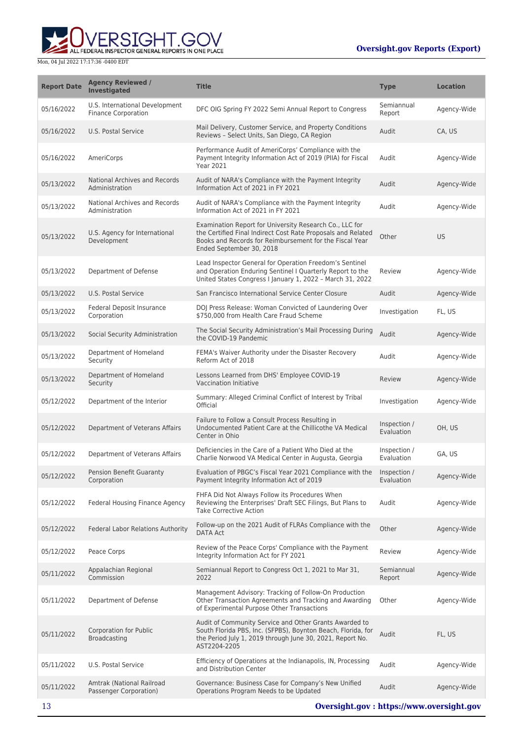ERSIGHT.GOV ALL FEDERAL INSPECTOR GENERAL REPORTS IN ONE PLACE

| <b>Report Date</b> | <b>Agency Reviewed /</b><br><b>Investigated</b>              | <b>Title</b>                                                                                                                                                                                                   | <b>Type</b>                | <b>Location</b> |
|--------------------|--------------------------------------------------------------|----------------------------------------------------------------------------------------------------------------------------------------------------------------------------------------------------------------|----------------------------|-----------------|
| 05/16/2022         | U.S. International Development<br><b>Finance Corporation</b> | DFC OIG Spring FY 2022 Semi Annual Report to Congress                                                                                                                                                          | Semiannual<br>Report       | Agency-Wide     |
| 05/16/2022         | U.S. Postal Service                                          | Mail Delivery, Customer Service, and Property Conditions<br>Reviews - Select Units, San Diego, CA Region                                                                                                       | Audit                      | CA, US          |
| 05/16/2022         | AmeriCorps                                                   | Performance Audit of AmeriCorps' Compliance with the<br>Payment Integrity Information Act of 2019 (PIIA) for Fiscal<br><b>Year 2021</b>                                                                        | Audit                      | Agency-Wide     |
| 05/13/2022         | National Archives and Records<br>Administration              | Audit of NARA's Compliance with the Payment Integrity<br>Information Act of 2021 in FY 2021                                                                                                                    | Audit                      | Agency-Wide     |
| 05/13/2022         | National Archives and Records<br>Administration              | Audit of NARA's Compliance with the Payment Integrity<br>Information Act of 2021 in FY 2021                                                                                                                    | Audit                      | Agency-Wide     |
| 05/13/2022         | U.S. Agency for International<br>Development                 | Examination Report for University Research Co., LLC for<br>the Certified Final Indirect Cost Rate Proposals and Related<br>Books and Records for Reimbursement for the Fiscal Year<br>Ended September 30, 2018 | Other                      | <b>US</b>       |
| 05/13/2022         | Department of Defense                                        | Lead Inspector General for Operation Freedom's Sentinel<br>and Operation Enduring Sentinel I Quarterly Report to the<br>United States Congress I January 1, 2022 - March 31, 2022                              | Review                     | Agency-Wide     |
| 05/13/2022         | U.S. Postal Service                                          | San Francisco International Service Center Closure                                                                                                                                                             | Audit                      | Agency-Wide     |
| 05/13/2022         | Federal Deposit Insurance<br>Corporation                     | DOJ Press Release: Woman Convicted of Laundering Over<br>\$750,000 from Health Care Fraud Scheme                                                                                                               | Investigation              | FL, US          |
| 05/13/2022         | Social Security Administration                               | The Social Security Administration's Mail Processing During<br>the COVID-19 Pandemic                                                                                                                           | Audit                      | Agency-Wide     |
| 05/13/2022         | Department of Homeland<br>Security                           | FEMA's Waiver Authority under the Disaster Recovery<br>Reform Act of 2018                                                                                                                                      | Audit                      | Agency-Wide     |
| 05/13/2022         | Department of Homeland<br>Security                           | Lessons Learned from DHS' Employee COVID-19<br>Vaccination Initiative                                                                                                                                          | Review                     | Agency-Wide     |
| 05/12/2022         | Department of the Interior                                   | Summary: Alleged Criminal Conflict of Interest by Tribal<br>Official                                                                                                                                           | Investigation              | Agency-Wide     |
| 05/12/2022         | Department of Veterans Affairs                               | Failure to Follow a Consult Process Resulting in<br>Undocumented Patient Care at the Chillicothe VA Medical<br>Center in Ohio                                                                                  | Inspection /<br>Evaluation | OH, US          |
| 05/12/2022         | Department of Veterans Affairs                               | Deficiencies in the Care of a Patient Who Died at the<br>Charlie Norwood VA Medical Center in Augusta, Georgia                                                                                                 | Inspection /<br>Evaluation | GA, US          |
| 05/12/2022         | Pension Benefit Guaranty<br>Corporation                      | Evaluation of PBGC's Fiscal Year 2021 Compliance with the Inspection /<br>Payment Integrity Information Act of 2019                                                                                            | Evaluation                 | Agency-Wide     |
| 05/12/2022         | <b>Federal Housing Finance Agency</b>                        | FHFA Did Not Always Follow its Procedures When<br>Reviewing the Enterprises' Draft SEC Filings, But Plans to<br><b>Take Corrective Action</b>                                                                  | Audit                      | Agency-Wide     |
| 05/12/2022         | Federal Labor Relations Authority                            | Follow-up on the 2021 Audit of FLRAs Compliance with the<br>DATA Act                                                                                                                                           | Other                      | Agency-Wide     |
| 05/12/2022         | Peace Corps                                                  | Review of the Peace Corps' Compliance with the Payment<br>Integrity Information Act for FY 2021                                                                                                                | Review                     | Agency-Wide     |
| 05/11/2022         | Appalachian Regional<br>Commission                           | Semiannual Report to Congress Oct 1, 2021 to Mar 31,<br>2022                                                                                                                                                   | Semiannual<br>Report       | Agency-Wide     |
| 05/11/2022         | Department of Defense                                        | Management Advisory: Tracking of Follow-On Production<br>Other Transaction Agreements and Tracking and Awarding<br>of Experimental Purpose Other Transactions                                                  | Other                      | Agency-Wide     |
| 05/11/2022         | Corporation for Public<br><b>Broadcasting</b>                | Audit of Community Service and Other Grants Awarded to<br>South Florida PBS, Inc. (SFPBS), Boynton Beach, Florida, for<br>the Period July 1, 2019 through June 30, 2021, Report No.<br>AST2204-2205            | Audit                      | FL, US          |
| 05/11/2022         | U.S. Postal Service                                          | Efficiency of Operations at the Indianapolis, IN, Processing<br>and Distribution Center                                                                                                                        | Audit                      | Agency-Wide     |
| 05/11/2022         | Amtrak (National Railroad<br>Passenger Corporation)          | Governance: Business Case for Company's New Unified<br>Operations Program Needs to be Updated                                                                                                                  | Audit                      | Agency-Wide     |